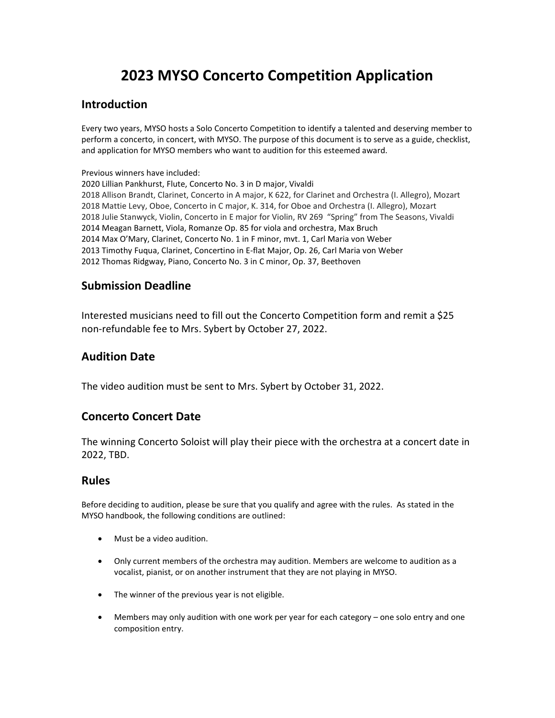# 2023 MYSO Concerto Competition Application

## Introduction

Every two years, MYSO hosts a Solo Concerto Competition to identify a talented and deserving member to perform a concerto, in concert, with MYSO. The purpose of this document is to serve as a guide, checklist, and application for MYSO members who want to audition for this esteemed award.

Previous winners have included:

2020 Lillian Pankhurst, Flute, Concerto No. 3 in D major, Vivaldi 2018 Allison Brandt, Clarinet, Concerto in A major, K 622, for Clarinet and Orchestra (I. Allegro), Mozart 2018 Mattie Levy, Oboe, Concerto in C major, K. 314, for Oboe and Orchestra (I. Allegro), Mozart 2018 Julie Stanwyck, Violin, Concerto in E major for Violin, RV 269 "Spring" from The Seasons, Vivaldi 2014 Meagan Barnett, Viola, Romanze Op. 85 for viola and orchestra, Max Bruch 2014 Max O'Mary, Clarinet, Concerto No. 1 in F minor, mvt. 1, Carl Maria von Weber 2013 Timothy Fuqua, Clarinet, Concertino in E-flat Major, Op. 26, Carl Maria von Weber 2012 Thomas Ridgway, Piano, Concerto No. 3 in C minor, Op. 37, Beethoven

### Submission Deadline

Interested musicians need to fill out the Concerto Competition form and remit a \$25 non-refundable fee to Mrs. Sybert by October 27, 2022.

# Audition Date

The video audition must be sent to Mrs. Sybert by October 31, 2022.

# Concerto Concert Date

The winning Concerto Soloist will play their piece with the orchestra at a concert date in 2022, TBD.

#### Rules

Before deciding to audition, please be sure that you qualify and agree with the rules. As stated in the MYSO handbook, the following conditions are outlined:

- Must be a video audition.
- Only current members of the orchestra may audition. Members are welcome to audition as a vocalist, pianist, or on another instrument that they are not playing in MYSO.
- The winner of the previous year is not eligible.
- Members may only audition with one work per year for each category one solo entry and one composition entry.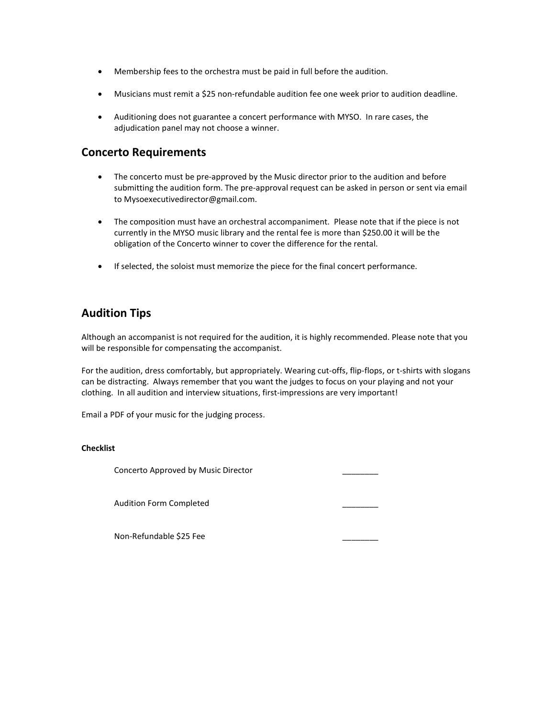- Membership fees to the orchestra must be paid in full before the audition.
- Musicians must remit a \$25 non-refundable audition fee one week prior to audition deadline.
- Auditioning does not guarantee a concert performance with MYSO. In rare cases, the adjudication panel may not choose a winner.

#### Concerto Requirements

- The concerto must be pre-approved by the Music director prior to the audition and before submitting the audition form. The pre-approval request can be asked in person or sent via email to Mysoexecutivedirector@gmail.com.
- The composition must have an orchestral accompaniment. Please note that if the piece is not currently in the MYSO music library and the rental fee is more than \$250.00 it will be the obligation of the Concerto winner to cover the difference for the rental.
- If selected, the soloist must memorize the piece for the final concert performance.

# Audition Tips

Although an accompanist is not required for the audition, it is highly recommended. Please note that you will be responsible for compensating the accompanist.

For the audition, dress comfortably, but appropriately. Wearing cut-offs, flip-flops, or t-shirts with slogans can be distracting. Always remember that you want the judges to focus on your playing and not your clothing. In all audition and interview situations, first-impressions are very important!

Email a PDF of your music for the judging process.

#### **Checklist**

Concerto Approved by Music Director \_\_\_\_\_\_\_\_

Audition Form Completed \_\_\_\_\_\_\_\_

Non-Refundable \$25 Fee \_\_\_\_\_\_\_\_